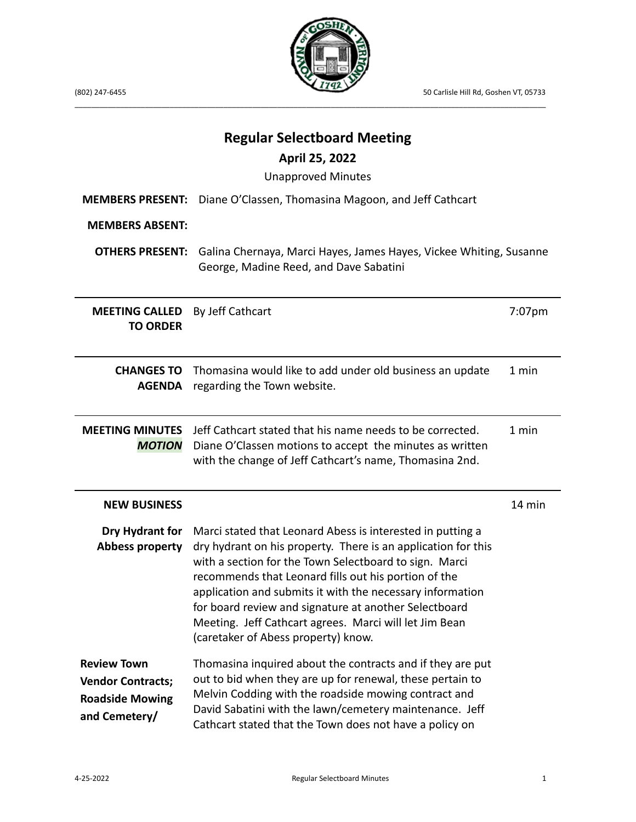

(802) 247-6455 50 Carlisle Hill Rd, Goshen VT, 05733

| <b>MEMBERS PRESENT:</b><br><b>MEMBERS ABSENT:</b>                                         | <b>Regular Selectboard Meeting</b><br>April 25, 2022<br><b>Unapproved Minutes</b><br>Diane O'Classen, Thomasina Magoon, and Jeff Cathcart                                                                                                                                                                                                                                                                                                                            |        |
|-------------------------------------------------------------------------------------------|----------------------------------------------------------------------------------------------------------------------------------------------------------------------------------------------------------------------------------------------------------------------------------------------------------------------------------------------------------------------------------------------------------------------------------------------------------------------|--------|
| <b>OTHERS PRESENT:</b>                                                                    | Galina Chernaya, Marci Hayes, James Hayes, Vickee Whiting, Susanne<br>George, Madine Reed, and Dave Sabatini                                                                                                                                                                                                                                                                                                                                                         |        |
| <b>MEETING CALLED</b><br><b>TO ORDER</b>                                                  | By Jeff Cathcart                                                                                                                                                                                                                                                                                                                                                                                                                                                     | 7:07pm |
| <b>CHANGES TO</b><br><b>AGENDA</b>                                                        | Thomasina would like to add under old business an update<br>regarding the Town website.                                                                                                                                                                                                                                                                                                                                                                              | 1 min  |
| <b>MEETING MINUTES</b><br><b>MOTION</b>                                                   | Jeff Cathcart stated that his name needs to be corrected.<br>Diane O'Classen motions to accept the minutes as written<br>with the change of Jeff Cathcart's name, Thomasina 2nd.                                                                                                                                                                                                                                                                                     | 1 min  |
| <b>NEW BUSINESS</b>                                                                       |                                                                                                                                                                                                                                                                                                                                                                                                                                                                      | 14 min |
| Dry Hydrant for<br><b>Abbess property</b>                                                 | Marci stated that Leonard Abess is interested in putting a<br>dry hydrant on his property. There is an application for this<br>with a section for the Town Selectboard to sign. Marci<br>recommends that Leonard fills out his portion of the<br>application and submits it with the necessary information<br>for board review and signature at another Selectboard<br>Meeting. Jeff Cathcart agrees. Marci will let Jim Bean<br>(caretaker of Abess property) know. |        |
| <b>Review Town</b><br><b>Vendor Contracts;</b><br><b>Roadside Mowing</b><br>and Cemetery/ | Thomasina inquired about the contracts and if they are put<br>out to bid when they are up for renewal, these pertain to<br>Melvin Codding with the roadside mowing contract and<br>David Sabatini with the lawn/cemetery maintenance. Jeff<br>Cathcart stated that the Town does not have a policy on                                                                                                                                                                |        |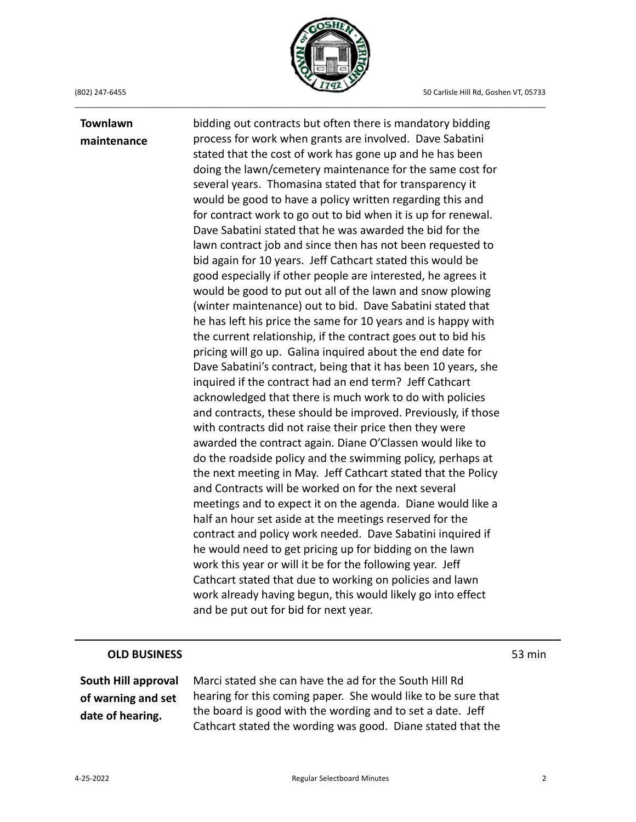**Townlawn maintenance**



\_\_\_\_\_\_\_\_\_\_\_\_\_\_\_\_\_\_\_\_\_\_\_\_\_\_\_\_\_\_\_\_\_\_\_\_\_\_\_\_\_\_\_\_\_\_\_\_\_\_\_\_\_\_\_\_\_\_\_\_\_\_\_\_\_\_\_\_\_\_\_\_\_\_\_\_\_\_\_\_\_\_\_\_\_\_\_\_\_\_\_\_\_\_\_\_\_\_\_\_\_\_\_\_\_\_\_\_\_\_\_\_\_\_

## bidding out contracts but often there is mandatory bidding process for work when grants are involved. Dave Sabatini stated that the cost of work has gone up and he has been doing the lawn/cemetery maintenance for the same cost for several years. Thomasina stated that for transparency it would be good to have a policy written regarding this and for contract work to go out to bid when it is up for renewal. Dave Sabatini stated that he was awarded the bid for the lawn contract job and since then has not been requested to bid again for 10 years. Jeff Cathcart stated this would be good especially if other people are interested, he agrees it would be good to put out all of the lawn and snow plowing (winter maintenance) out to bid. Dave Sabatini stated that he has left his price the same for 10 years and is happy with the current relationship, if the contract goes out to bid his pricing will go up. Galina inquired about the end date for Dave Sabatini's contract, being that it has been 10 years, she inquired if the contract had an end term? Jeff Cathcart acknowledged that there is much work to do with policies and contracts, these should be improved. Previously, if those with contracts did not raise their price then they were awarded the contract again. Diane O'Classen would like to do the roadside policy and the swimming policy, perhaps at the next meeting in May. Jeff Cathcart stated that the Policy and Contracts will be worked on for the next several meetings and to expect it on the agenda. Diane would like a half an hour set aside at the meetings reserved for the contract and policy work needed. Dave Sabatini inquired if he would need to get pricing up for bidding on the lawn work this year or will it be for the following year. Jeff Cathcart stated that due to working on policies and lawn work already having begun, this would likely go into effect and be put out for bid for next year.

## **OLD BUSINESS** 53 min

**South Hill approval of warning and set date of hearing.**

Marci stated she can have the ad for the South Hill Rd hearing for this coming paper. She would like to be sure that the board is good with the wording and to set a date. Jeff Cathcart stated the wording was good. Diane stated that the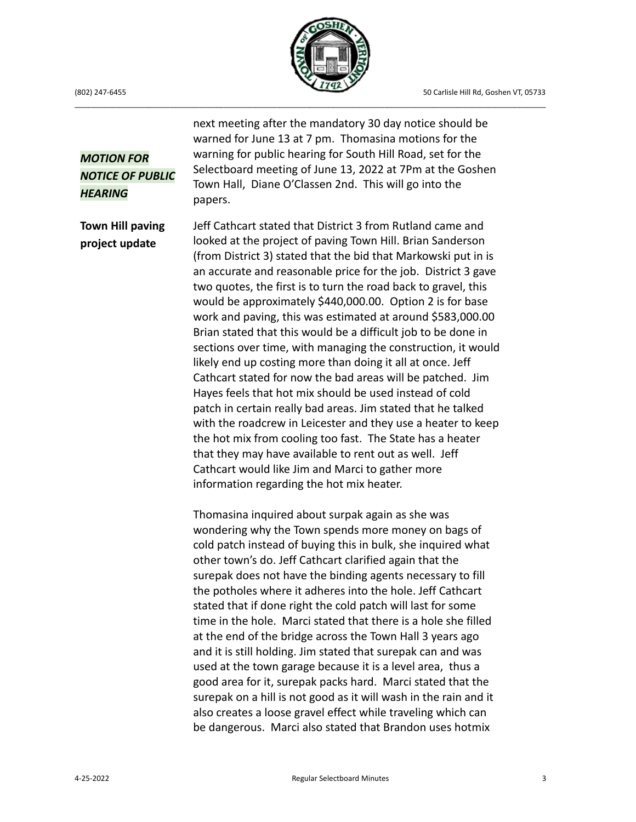(802) 247-6455 50 Carlisle Hill Rd, Goshen VT, 05733



\_\_\_\_\_\_\_\_\_\_\_\_\_\_\_\_\_\_\_\_\_\_\_\_\_\_\_\_\_\_\_\_\_\_\_\_\_\_\_\_\_\_\_\_\_\_\_\_\_\_\_\_\_\_\_\_\_\_\_\_\_\_\_\_\_\_\_\_\_\_\_\_\_\_\_\_\_\_\_\_\_\_\_\_\_\_\_\_\_\_\_\_\_\_\_\_\_\_\_\_\_\_\_\_\_\_\_\_\_\_\_\_\_\_

*MOTION FOR NOTICE OF PUBLIC HEARING*

**Town Hill paving project update**

next meeting after the mandatory 30 day notice should be warned for June 13 at 7 pm. Thomasina motions for the warning for public hearing for South Hill Road, set for the Selectboard meeting of June 13, 2022 at 7Pm at the Goshen Town Hall, Diane O'Classen 2nd. This will go into the papers.

Jeff Cathcart stated that District 3 from Rutland came and looked at the project of paving Town Hill. Brian Sanderson (from District 3) stated that the bid that Markowski put in is an accurate and reasonable price for the job. District 3 gave two quotes, the first is to turn the road back to gravel, this would be approximately \$440,000.00. Option 2 is for base work and paving, this was estimated at around \$583,000.00 Brian stated that this would be a difficult job to be done in sections over time, with managing the construction, it would likely end up costing more than doing it all at once. Jeff Cathcart stated for now the bad areas will be patched. Jim Hayes feels that hot mix should be used instead of cold patch in certain really bad areas. Jim stated that he talked with the roadcrew in Leicester and they use a heater to keep the hot mix from cooling too fast. The State has a heater that they may have available to rent out as well. Jeff Cathcart would like Jim and Marci to gather more information regarding the hot mix heater.

Thomasina inquired about surpak again as she was wondering why the Town spends more money on bags of cold patch instead of buying this in bulk, she inquired what other town's do. Jeff Cathcart clarified again that the surepak does not have the binding agents necessary to fill the potholes where it adheres into the hole. Jeff Cathcart stated that if done right the cold patch will last for some time in the hole. Marci stated that there is a hole she filled at the end of the bridge across the Town Hall 3 years ago and it is still holding. Jim stated that surepak can and was used at the town garage because it is a level area, thus a good area for it, surepak packs hard. Marci stated that the surepak on a hill is not good as it will wash in the rain and it also creates a loose gravel effect while traveling which can be dangerous. Marci also stated that Brandon uses hotmix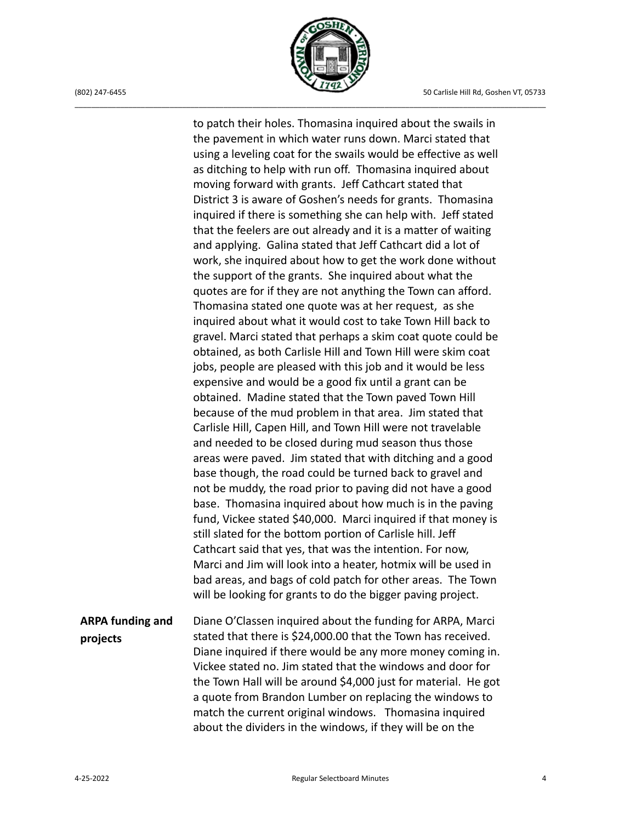

to patch their holes. Thomasina inquired about the swails in the pavement in which water runs down. Marci stated that using a leveling coat for the swails would be effective as well as ditching to help with run off. Thomasina inquired about moving forward with grants. Jeff Cathcart stated that District 3 is aware of Goshen's needs for grants. Thomasina inquired if there is something she can help with. Jeff stated that the feelers are out already and it is a matter of waiting and applying. Galina stated that Jeff Cathcart did a lot of work, she inquired about how to get the work done without the support of the grants. She inquired about what the quotes are for if they are not anything the Town can afford. Thomasina stated one quote was at her request, as she inquired about what it would cost to take Town Hill back to gravel. Marci stated that perhaps a skim coat quote could be obtained, as both Carlisle Hill and Town Hill were skim coat jobs, people are pleased with this job and it would be less expensive and would be a good fix until a grant can be obtained. Madine stated that the Town paved Town Hill because of the mud problem in that area. Jim stated that Carlisle Hill, Capen Hill, and Town Hill were not travelable and needed to be closed during mud season thus those areas were paved. Jim stated that with ditching and a good base though, the road could be turned back to gravel and not be muddy, the road prior to paving did not have a good base. Thomasina inquired about how much is in the paving fund, Vickee stated \$40,000. Marci inquired if that money is still slated for the bottom portion of Carlisle hill. Jeff Cathcart said that yes, that was the intention. For now, Marci and Jim will look into a heater, hotmix will be used in bad areas, and bags of cold patch for other areas. The Town will be looking for grants to do the bigger paving project.

## **ARPA funding and projects** Diane O'Classen inquired about the funding for ARPA, Marci stated that there is \$24,000.00 that the Town has received. Diane inquired if there would be any more money coming in. Vickee stated no. Jim stated that the windows and door for the Town Hall will be around \$4,000 just for material. He got a quote from Brandon Lumber on replacing the windows to match the current original windows. Thomasina inquired about the dividers in the windows, if they will be on the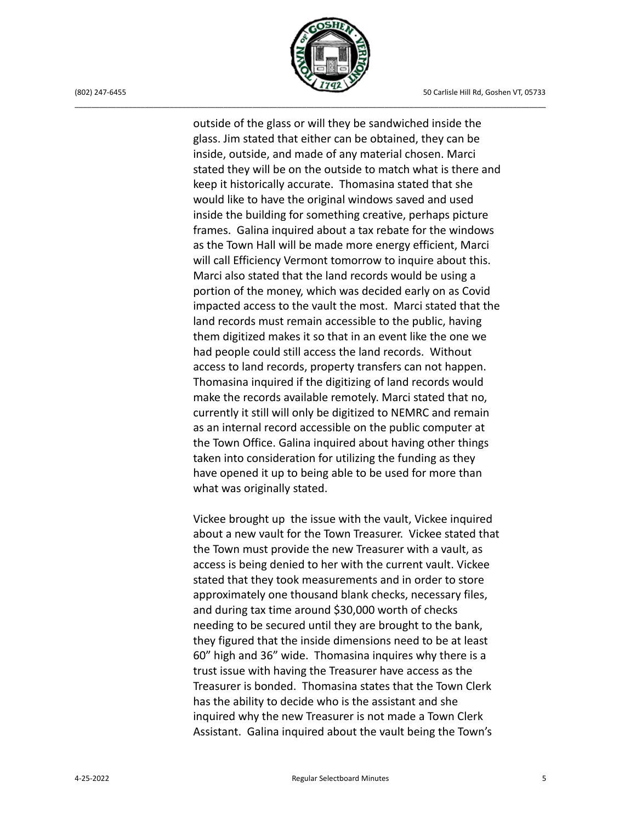

outside of the glass or will they be sandwiched inside the glass. Jim stated that either can be obtained, they can be inside, outside, and made of any material chosen. Marci stated they will be on the outside to match what is there and keep it historically accurate. Thomasina stated that she would like to have the original windows saved and used inside the building for something creative, perhaps picture frames. Galina inquired about a tax rebate for the windows as the Town Hall will be made more energy efficient, Marci will call Efficiency Vermont tomorrow to inquire about this. Marci also stated that the land records would be using a portion of the money, which was decided early on as Covid impacted access to the vault the most. Marci stated that the land records must remain accessible to the public, having them digitized makes it so that in an event like the one we had people could still access the land records. Without access to land records, property transfers can not happen. Thomasina inquired if the digitizing of land records would make the records available remotely. Marci stated that no, currently it still will only be digitized to NEMRC and remain as an internal record accessible on the public computer at the Town Office. Galina inquired about having other things taken into consideration for utilizing the funding as they have opened it up to being able to be used for more than what was originally stated.

Vickee brought up the issue with the vault, Vickee inquired about a new vault for the Town Treasurer. Vickee stated that the Town must provide the new Treasurer with a vault, as access is being denied to her with the current vault. Vickee stated that they took measurements and in order to store approximately one thousand blank checks, necessary files, and during tax time around \$30,000 worth of checks needing to be secured until they are brought to the bank, they figured that the inside dimensions need to be at least 60" high and 36" wide. Thomasina inquires why there is a trust issue with having the Treasurer have access as the Treasurer is bonded. Thomasina states that the Town Clerk has the ability to decide who is the assistant and she inquired why the new Treasurer is not made a Town Clerk Assistant. Galina inquired about the vault being the Town's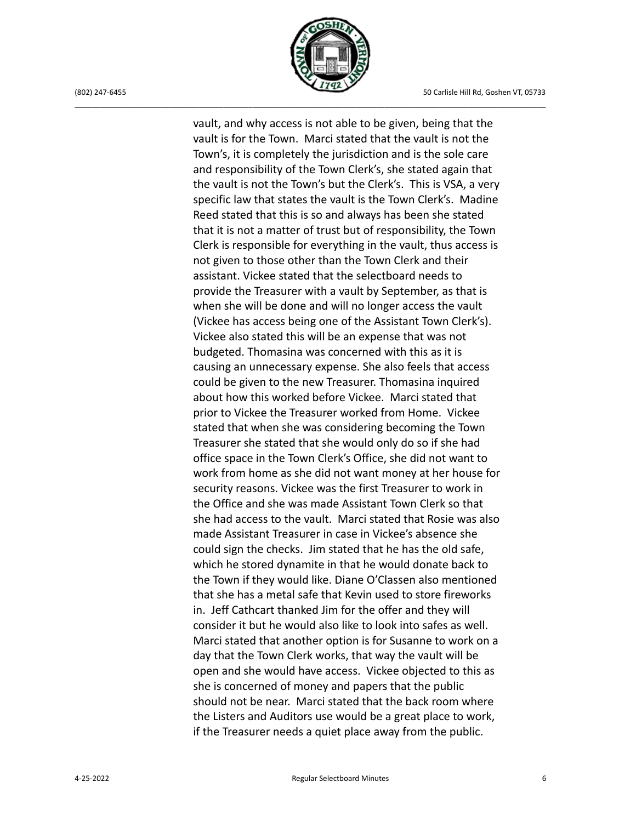

vault, and why access is not able to be given, being that the vault is for the Town. Marci stated that the vault is not the Town's, it is completely the jurisdiction and is the sole care and responsibility of the Town Clerk's, she stated again that the vault is not the Town's but the Clerk's. This is VSA, a very specific law that states the vault is the Town Clerk's. Madine Reed stated that this is so and always has been she stated that it is not a matter of trust but of responsibility, the Town Clerk is responsible for everything in the vault, thus access is not given to those other than the Town Clerk and their assistant. Vickee stated that the selectboard needs to provide the Treasurer with a vault by September, as that is when she will be done and will no longer access the vault (Vickee has access being one of the Assistant Town Clerk's). Vickee also stated this will be an expense that was not budgeted. Thomasina was concerned with this as it is causing an unnecessary expense. She also feels that access could be given to the new Treasurer. Thomasina inquired about how this worked before Vickee. Marci stated that prior to Vickee the Treasurer worked from Home. Vickee stated that when she was considering becoming the Town Treasurer she stated that she would only do so if she had office space in the Town Clerk's Office, she did not want to work from home as she did not want money at her house for security reasons. Vickee was the first Treasurer to work in the Office and she was made Assistant Town Clerk so that she had access to the vault. Marci stated that Rosie was also made Assistant Treasurer in case in Vickee's absence she could sign the checks. Jim stated that he has the old safe, which he stored dynamite in that he would donate back to the Town if they would like. Diane O'Classen also mentioned that she has a metal safe that Kevin used to store fireworks in. Jeff Cathcart thanked Jim for the offer and they will consider it but he would also like to look into safes as well. Marci stated that another option is for Susanne to work on a day that the Town Clerk works, that way the vault will be open and she would have access. Vickee objected to this as she is concerned of money and papers that the public should not be near. Marci stated that the back room where the Listers and Auditors use would be a great place to work, if the Treasurer needs a quiet place away from the public.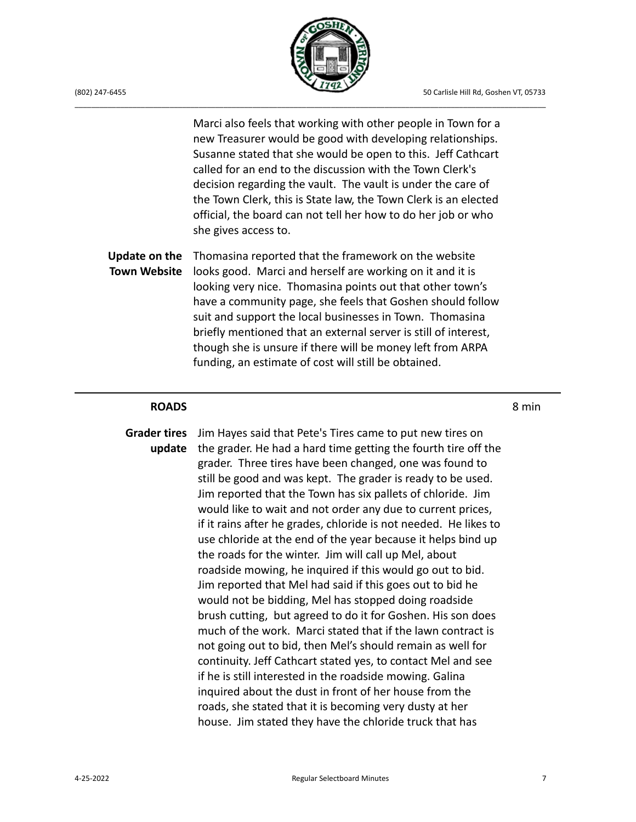

Marci also feels that working with other people in Town for a new Treasurer would be good with developing relationships. Susanne stated that she would be open to this. Jeff Cathcart called for an end to the discussion with the Town Clerk's decision regarding the vault. The vault is under the care of the Town Clerk, this is State law, the Town Clerk is an elected official, the board can not tell her how to do her job or who she gives access to.

**Update on the** Thomasina reported that the framework on the website **Town Website** looks good. Marci and herself are working on it and it is looking very nice. Thomasina points out that other town's have a community page, she feels that Goshen should follow suit and support the local businesses in Town. Thomasina briefly mentioned that an external server is still of interest, though she is unsure if there will be money left from ARPA funding, an estimate of cost will still be obtained.

## **ROADS** 8 min

**Grader tires** Jim Hayes said that Pete's Tires came to put new tires on **update** the grader. He had a hard time getting the fourth tire off the grader. Three tires have been changed, one was found to still be good and was kept. The grader is ready to be used. Jim reported that the Town has six pallets of chloride. Jim would like to wait and not order any due to current prices, if it rains after he grades, chloride is not needed. He likes to use chloride at the end of the year because it helps bind up the roads for the winter. Jim will call up Mel, about roadside mowing, he inquired if this would go out to bid. Jim reported that Mel had said if this goes out to bid he would not be bidding, Mel has stopped doing roadside brush cutting, but agreed to do it for Goshen. His son does much of the work. Marci stated that if the lawn contract is not going out to bid, then Mel's should remain as well for continuity. Jeff Cathcart stated yes, to contact Mel and see if he is still interested in the roadside mowing. Galina inquired about the dust in front of her house from the roads, she stated that it is becoming very dusty at her house. Jim stated they have the chloride truck that has